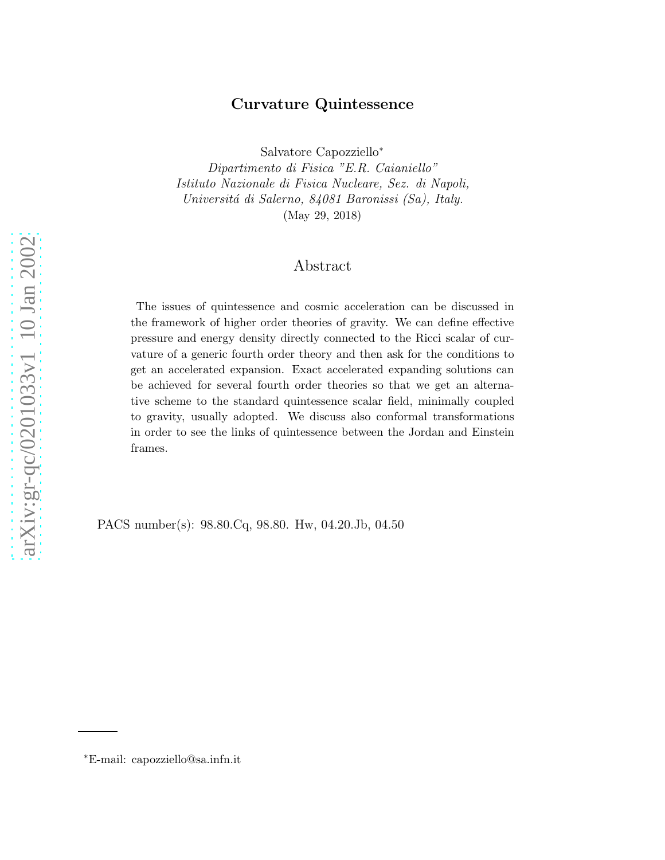# Curvature Quintessence

Salvatore Capozziello ∗

Dipartimento di Fisica "E.R. Caianiello" Istituto Nazionale di Fisica Nucleare, Sez. di Napoli, Universitá di Salerno, 84081 Baronissi (Sa), Italy. (May 29, 2018)

## Abstract

The issues of quintessence and cosmic acceleration can be discussed in the framework of higher order theories of gravity. We can define effective pressure and energy density directly connected to the Ricci scalar of curvature of a generic fourth order theory and then ask for the conditions to get an accelerated expansion. Exact accelerated expanding solutions can be achieved for several fourth order theories so that we get an alternative scheme to the standard quintessence scalar field, minimally coupled to gravity, usually adopted. We discuss also conformal transformations in order to see the links of quintessence between the Jordan and Einstein frames.

PACS number(s): 98.80.Cq, 98.80. Hw, 04.20.Jb, 04.50

<sup>∗</sup>E-mail: capozziello@sa.infn.it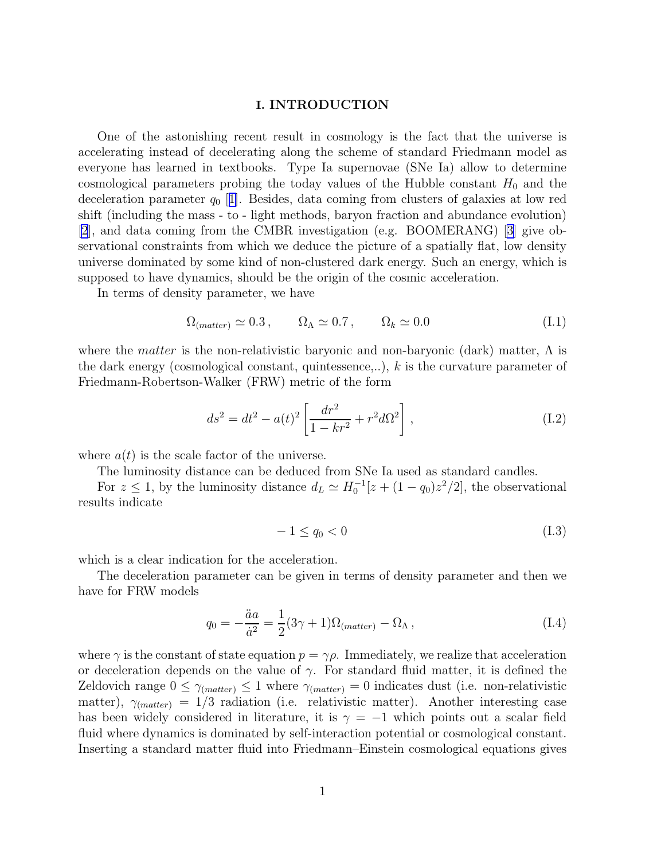#### I. INTRODUCTION

One of the astonishing recent result in cosmology is the fact that the universe is accelerating instead of decelerating along the scheme of standard Friedmann model as everyone has learned in textbooks. Type Ia supernovae (SNe Ia) allow to determine cosmological parameters probing the today values of the Hubble constant  $H_0$  and the deceleration parameter  $q_0$  [[1\]](#page-8-0). Besides, data coming from clusters of galaxies at low red shift (including the mass - to - light methods, baryon fraction and abundance evolution)  $[2]$  $[2]$ , and data coming from the CMBR investigation (e.g. BOOMERANG) [\[3\]](#page-8-0) give observational constraints from which we deduce the picture of a spatially flat, low density universe dominated by some kind of non-clustered dark energy. Such an energy, which is supposed to have dynamics, should be the origin of the cosmic acceleration.

In terms of density parameter, we have

$$
\Omega_{(matter)} \simeq 0.3 \,, \qquad \Omega_{\Lambda} \simeq 0.7 \,, \qquad \Omega_k \simeq 0.0 \tag{I.1}
$$

where the *matter* is the non-relativistic baryonic and non-baryonic (dark) matter,  $\Lambda$  is the dark energy (cosmological constant, quintessence,..), k is the curvature parameter of Friedmann-Robertson-Walker (FRW) metric of the form

$$
ds^{2} = dt^{2} - a(t)^{2} \left[ \frac{dr^{2}}{1 - kr^{2}} + r^{2} d\Omega^{2} \right],
$$
 (I.2)

where  $a(t)$  is the scale factor of the universe.

The luminosity distance can be deduced from SNe Ia used as standard candles.

For  $z \leq 1$ , by the luminosity distance  $d_L \simeq H_0^{-1}[z + (1 - q_0)z^2/2]$ , the observational results indicate

$$
-1 \le q_0 < 0 \tag{I.3}
$$

which is a clear indication for the acceleration.

The deceleration parameter can be given in terms of density parameter and then we have for FRW models

$$
q_0 = -\frac{\ddot{a}a}{\dot{a}^2} = \frac{1}{2}(3\gamma + 1)\Omega_{(matter)} - \Omega_{\Lambda},\qquad(1.4)
$$

where  $\gamma$  is the constant of state equation  $p = \gamma \rho$ . Immediately, we realize that acceleration or deceleration depends on the value of  $\gamma$ . For standard fluid matter, it is defined the Zeldovich range  $0 \leq \gamma_{(matter)} \leq 1$  where  $\gamma_{(matter)} = 0$  indicates dust (i.e. non-relativistic matter),  $\gamma_{(matter)} = 1/3$  radiation (i.e. relativistic matter). Another interesting case has been widely considered in literature, it is  $\gamma = -1$  which points out a scalar field fluid where dynamics is dominated by self-interaction potential or cosmological constant. Inserting a standard matter fluid into Friedmann–Einstein cosmological equations gives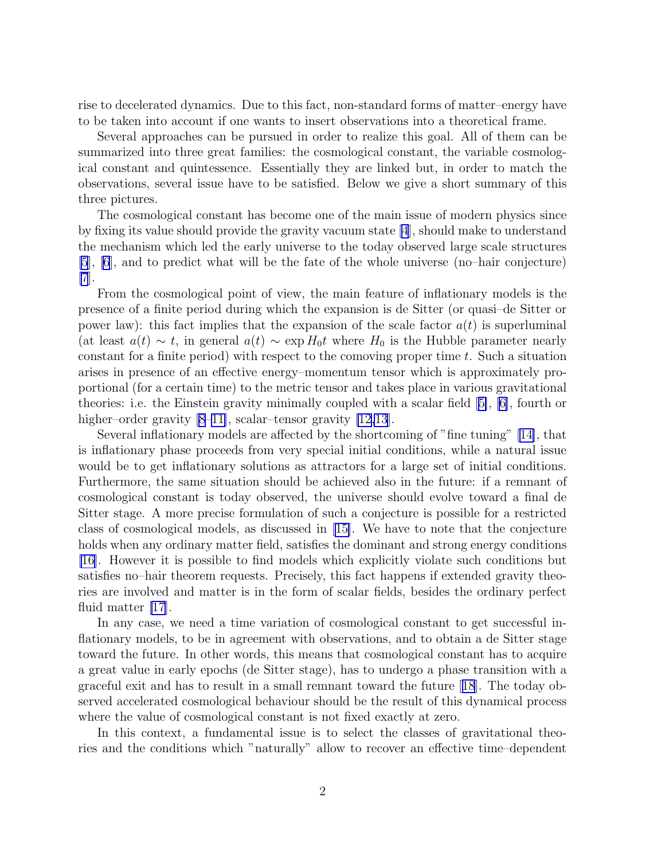rise to decelerated dynamics. Due to this fact, non-standard forms of matter–energy have to be taken into account if one wants to insert observations into a theoretical frame.

Several approaches can be pursued in order to realize this goal. All of them can be summarized into three great families: the cosmological constant, the variable cosmological constant and quintessence. Essentially they are linked but, in order to match the observations, several issue have to be satisfied. Below we give a short summary of this three pictures.

The cosmological constant has become one of the main issue of modern physics since by fixing its value should provide the gravity vacuum state [\[4](#page-8-0)], should make to understand the mechanism which led the early universe to the today observed large scale structures [\[5](#page-8-0)], [\[6](#page-8-0)], and to predict what will be the fate of the whole universe (no–hair conjecture)  $|7|$ .

From the cosmological point of view, the main feature of inflationary models is the presence of a finite period during which the expansion is de Sitter (or quasi–de Sitter or power law): this fact implies that the expansion of the scale factor  $a(t)$  is superluminal (at least  $a(t) \sim t$ , in general  $a(t) \sim \exp H_0 t$  where  $H_0$  is the Hubble parameter nearly constant for a finite period) with respect to the comoving proper time  $t$ . Such a situation arises in presence of an effective energy–momentum tensor which is approximately proportional (for a certain time) to the metric tensor and takes place in various gravitational theories: i.e. the Einstein gravity minimally coupled with a scalar field[[5\]](#page-8-0), [\[6\]](#page-8-0), fourth or higher–order gravity [\[8](#page-8-0)–[11\]](#page-8-0), scalar–tensor gravity [\[12,13](#page-8-0)].

Several inflationary models are affected by the shortcoming of "fine tuning"[[14\]](#page-8-0), that is inflationary phase proceeds from very special initial conditions, while a natural issue would be to get inflationary solutions as attractors for a large set of initial conditions. Furthermore, the same situation should be achieved also in the future: if a remnant of cosmological constant is today observed, the universe should evolve toward a final de Sitter stage. A more precise formulation of such a conjecture is possible for a restricted class of cosmological models, as discussed in[[15\]](#page-8-0). We have to note that the conjecture holds when any ordinary matter field, satisfies the dominant and strong energy conditions [\[16\]](#page-8-0). However it is possible to find models which explicitly violate such conditions but satisfies no–hair theorem requests. Precisely, this fact happens if extended gravity theories are involved and matter is in the form of scalar fields, besides the ordinary perfect fluid matter [\[17](#page-8-0)].

In any case, we need a time variation of cosmological constant to get successful inflationary models, to be in agreement with observations, and to obtain a de Sitter stage toward the future. In other words, this means that cosmological constant has to acquire a great value in early epochs (de Sitter stage), has to undergo a phase transition with a graceful exit and has to result in a small remnant toward the future[[18](#page-8-0)]. The today observed accelerated cosmological behaviour should be the result of this dynamical process where the value of cosmological constant is not fixed exactly at zero.

In this context, a fundamental issue is to select the classes of gravitational theories and the conditions which "naturally" allow to recover an effective time–dependent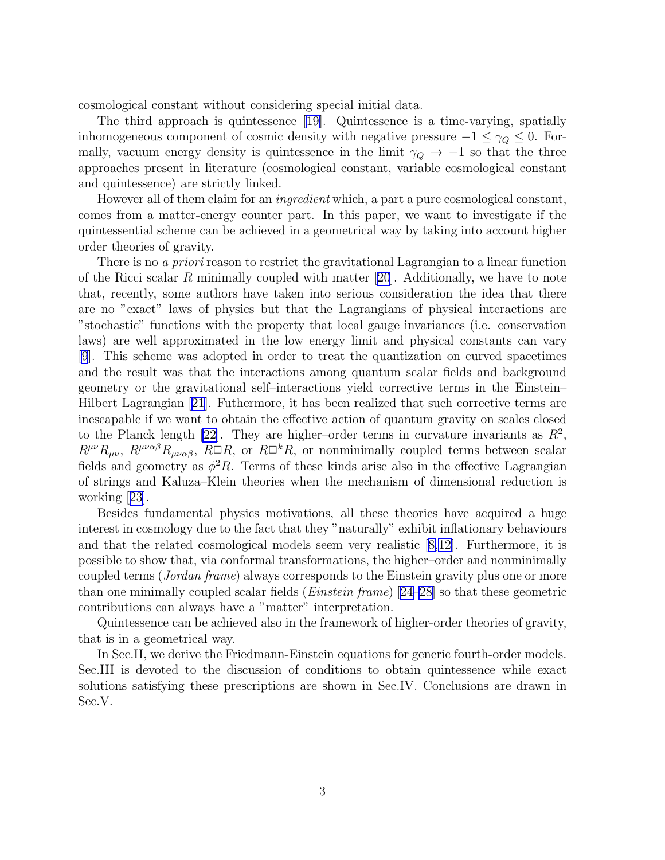cosmological constant without considering special initial data.

The third approach is quintessence [\[19](#page-8-0)]. Quintessence is a time-varying, spatially inhomogeneous component of cosmic density with negative pressure  $-1 \leq \gamma_Q \leq 0$ . Formally, vacuum energy density is quintessence in the limit  $\gamma_Q \to -1$  so that the three approaches present in literature (cosmological constant, variable cosmological constant and quintessence) are strictly linked.

However all of them claim for an *ingredient* which, a part a pure cosmological constant, comes from a matter-energy counter part. In this paper, we want to investigate if the quintessential scheme can be achieved in a geometrical way by taking into account higher order theories of gravity.

There is no *a priori* reason to restrict the gravitational Lagrangian to a linear function ofthe Ricci scalar R minimally coupled with matter  $[20]$  $[20]$  $[20]$ . Additionally, we have to note that, recently, some authors have taken into serious consideration the idea that there are no "exact" laws of physics but that the Lagrangians of physical interactions are "stochastic" functions with the property that local gauge invariances (i.e. conservation laws) are well approximated in the low energy limit and physical constants can vary [\[9](#page-8-0)]. This scheme was adopted in order to treat the quantization on curved spacetimes and the result was that the interactions among quantum scalar fields and background geometry or the gravitational self–interactions yield corrective terms in the Einstein– Hilbert Lagrangian[[21](#page-8-0)]. Futhermore, it has been realized that such corrective terms are inescapable if we want to obtain the effective action of quantum gravity on scales closed to the Planck length [\[22](#page-8-0)]. They are higher-order terms in curvature invariants as  $R^2$ ,  $R^{\mu\nu}R_{\mu\nu}$ ,  $R^{\mu\nu\alpha\beta}R_{\mu\nu\alpha\beta}$ ,  $R\Box R$ , or  $R\Box^kR$ , or nonminimally coupled terms between scalar fields and geometry as  $\phi^2 R$ . Terms of these kinds arise also in the effective Lagrangian of strings and Kaluza–Klein theories when the mechanism of dimensional reduction is working[[23](#page-8-0)].

Besides fundamental physics motivations, all these theories have acquired a huge interest in cosmology due to the fact that they "naturally" exhibit inflationary behaviours and that the related cosmological models seem very realistic[[8,12\]](#page-8-0). Furthermore, it is possible to show that, via conformal transformations, the higher–order and nonminimally coupled terms (Jordan frame) always corresponds to the Einstein gravity plus one or more thanone minimally coupled scalar fields (*Einstein frame*)  $[24-28]$  $[24-28]$  $[24-28]$  so that these geometric contributions can always have a "matter" interpretation.

Quintessence can be achieved also in the framework of higher-order theories of gravity, that is in a geometrical way.

In Sec.II, we derive the Friedmann-Einstein equations for generic fourth-order models. Sec.III is devoted to the discussion of conditions to obtain quintessence while exact solutions satisfying these prescriptions are shown in Sec.IV. Conclusions are drawn in Sec.V.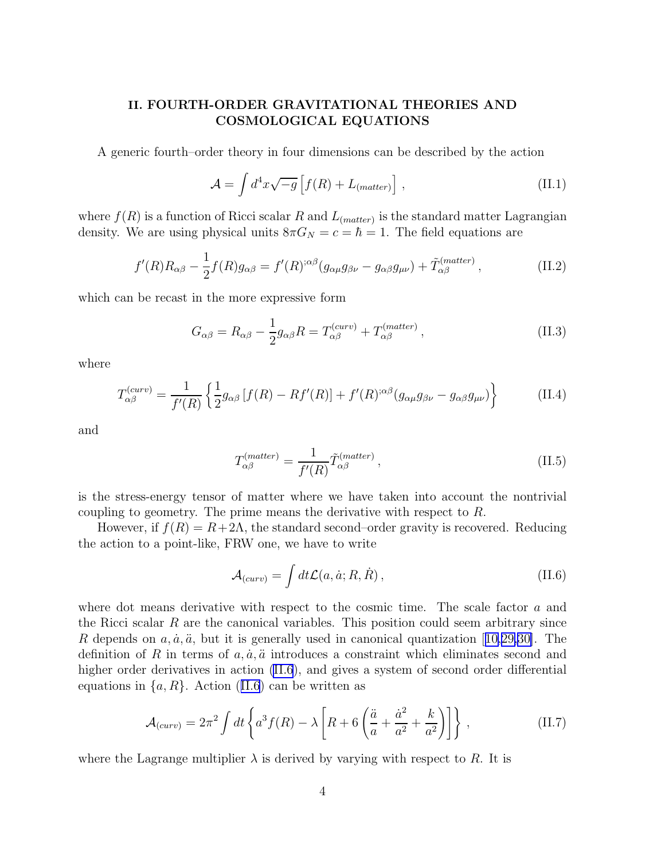# II. FOURTH-ORDER GRAVITATIONAL THEORIES AND COSMOLOGICAL EQUATIONS

A generic fourth–order theory in four dimensions can be described by the action

$$
\mathcal{A} = \int d^4x \sqrt{-g} \left[ f(R) + L_{(matter)} \right], \qquad (II.1)
$$

where  $f(R)$  is a function of Ricci scalar R and  $L_{(matter)}$  is the standard matter Lagrangian density. We are using physical units  $8\pi G_N = c = \hbar = 1$ . The field equations are

$$
f'(R)R_{\alpha\beta} - \frac{1}{2}f(R)g_{\alpha\beta} = f'(R)^{;\alpha\beta}(g_{\alpha\mu}g_{\beta\nu} - g_{\alpha\beta}g_{\mu\nu}) + \tilde{T}^{(matter)}_{\alpha\beta},
$$
\n(II.2)

which can be recast in the more expressive form

$$
G_{\alpha\beta} = R_{\alpha\beta} - \frac{1}{2}g_{\alpha\beta}R = T_{\alpha\beta}^{(curv)} + T_{\alpha\beta}^{(matter)},
$$
\n(II.3)

where

$$
T_{\alpha\beta}^{(curv)} = \frac{1}{f'(R)} \left\{ \frac{1}{2} g_{\alpha\beta} \left[ f(R) - R f'(R) \right] + f'(R)^{;\alpha\beta} (g_{\alpha\mu} g_{\beta\nu} - g_{\alpha\beta} g_{\mu\nu}) \right\}
$$
(II.4)

and

$$
T_{\alpha\beta}^{(matter)} = \frac{1}{f'(R)} \tilde{T}_{\alpha\beta}^{(matter)} , \qquad (II.5)
$$

is the stress-energy tensor of matter where we have taken into account the nontrivial coupling to geometry. The prime means the derivative with respect to R.

However, if  $f(R) = R + 2\Lambda$ , the standard second–order gravity is recovered. Reducing the action to a point-like, FRW one, we have to write

$$
\mathcal{A}_{(curv)} = \int dt \mathcal{L}(a, \dot{a}; R, \dot{R}), \qquad (II.6)
$$

where dot means derivative with respect to the cosmic time. The scale factor  $a$  and the Ricci scalar  $R$  are the canonical variables. This position could seem arbitrary since Rdepends on  $a, \dot{a}, \ddot{a}$ , but it is generally used in canonical quantization [[10,](#page-8-0)[29,30\]](#page-9-0). The definition of R in terms of  $a, \dot{a}, \ddot{a}$  introduces a constraint which eliminates second and higher order derivatives in action (II.6), and gives a system of second order differential equations in  $\{a, R\}$ . Action (II.6) can be written as

$$
\mathcal{A}_{(curv)} = 2\pi^2 \int dt \left\{ a^3 f(R) - \lambda \left[ R + 6 \left( \frac{\ddot{a}}{a} + \frac{\dot{a}^2}{a^2} + \frac{k}{a^2} \right) \right] \right\} ,\qquad (II.7)
$$

where the Lagrange multiplier  $\lambda$  is derived by varying with respect to R. It is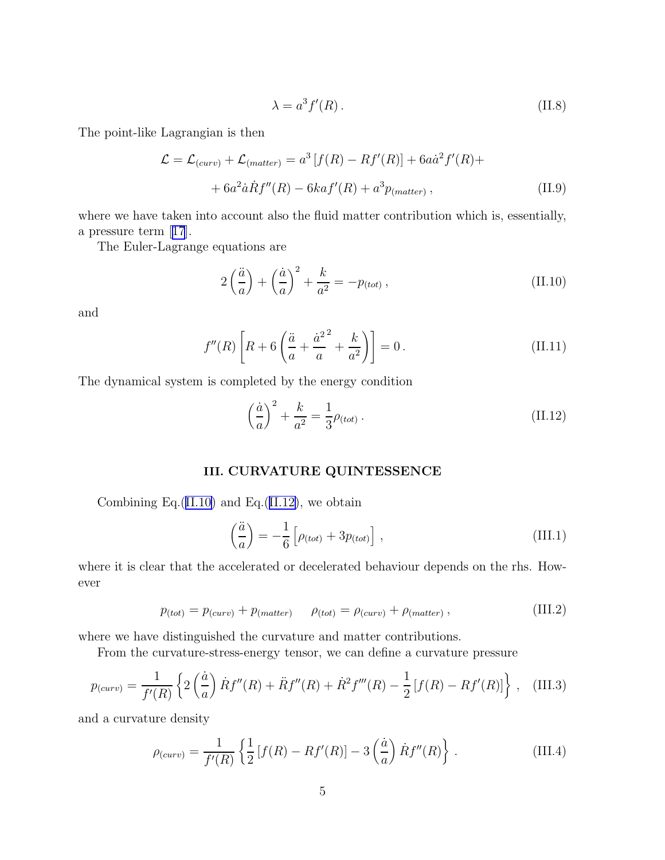$$
\lambda = a^3 f'(R). \tag{II.8}
$$

<span id="page-5-0"></span>The point-like Lagrangian is then

$$
\mathcal{L} = \mathcal{L}_{(curv)} + \mathcal{L}_{(matter)} = a^3 [f(R) - Rf'(R)] + 6a\dot{a}^2 f'(R) +
$$

$$
+ 6a^2 \dot{a} \dot{R} f''(R) - 6ka f'(R) + a^3 p_{(matter)}, \qquad (II.9)
$$

where we have taken into account also the fluid matter contribution which is, essentially, a pressure term[[17](#page-8-0)].

The Euler-Lagrange equations are

$$
2\left(\frac{\ddot{a}}{a}\right) + \left(\frac{\dot{a}}{a}\right)^2 + \frac{k}{a^2} = -p_{(tot)}\,,\tag{II.10}
$$

and

$$
f''(R)\left[R + 6\left(\frac{\ddot{a}}{a} + \frac{{\dot{a}^2}^2}{a} + \frac{k}{a^2}\right)\right] = 0.
$$
 (II.11)

The dynamical system is completed by the energy condition

$$
\left(\frac{\dot{a}}{a}\right)^2 + \frac{k}{a^2} = \frac{1}{3}\rho_{(tot)}\,. \tag{II.12}
$$

### III. CURVATURE QUINTESSENCE

Combining Eq.(II.10) and Eq.(II.12), we obtain

$$
\left(\frac{\ddot{a}}{a}\right) = -\frac{1}{6} \left[ \rho_{(tot)} + 3p_{(tot)} \right],\tag{III.1}
$$

where it is clear that the accelerated or decelerated behaviour depends on the rhs. However

$$
p_{(tot)} = p_{(curv)} + p_{(matter)} \qquad \rho_{(tot)} = \rho_{(curv)} + \rho_{(matter)} , \qquad (III.2)
$$

where we have distinguished the curvature and matter contributions.

From the curvature-stress-energy tensor, we can define a curvature pressure

$$
p_{(curv)} = \frac{1}{f'(R)} \left\{ 2\left(\frac{\dot{a}}{a}\right) \dot{R}f''(R) + \ddot{R}f''(R) + \dot{R}^2f'''(R) - \frac{1}{2} \left[f(R) - Rf'(R)\right] \right\}, \quad (III.3)
$$

and a curvature density

$$
\rho_{(curv)} = \frac{1}{f'(R)} \left\{ \frac{1}{2} \left[ f(R) - Rf'(R) \right] - 3 \left( \frac{\dot{a}}{a} \right) \dot{R}f''(R) \right\} \,. \tag{III.4}
$$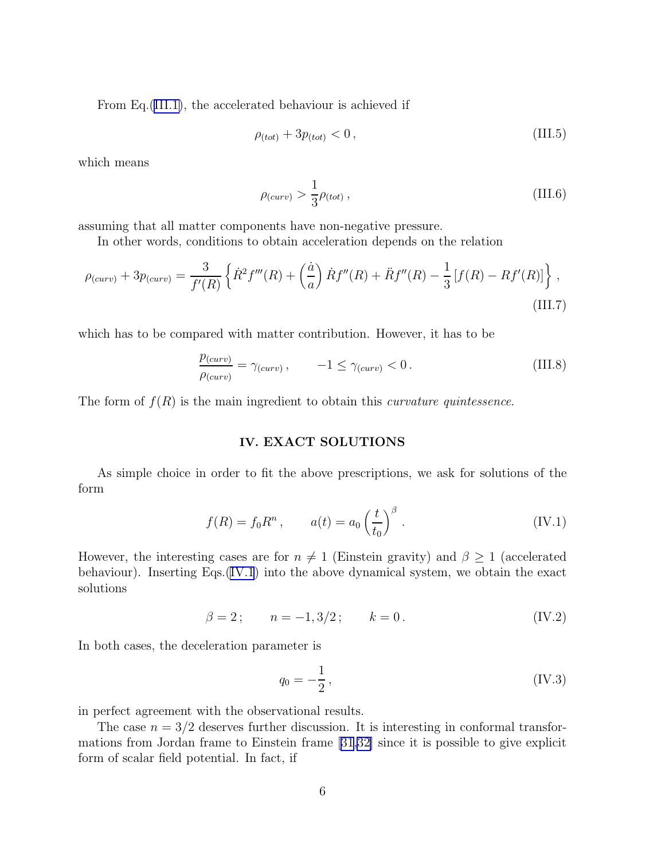From Eq.[\(III.1\)](#page-5-0), the accelerated behaviour is achieved if

$$
\rho_{(tot)} + 3p_{(tot)} < 0 \,, \tag{III.5}
$$

which means

$$
\rho_{(curv)} > \frac{1}{3}\rho_{(tot)} , \qquad (III.6)
$$

assuming that all matter components have non-negative pressure.

In other words, conditions to obtain acceleration depends on the relation

$$
\rho_{(curv)} + 3p_{(curv)} = \frac{3}{f'(R)} \left\{ \dot{R}^2 f'''(R) + \left(\frac{\dot{a}}{a}\right) \dot{R} f''(R) + \ddot{R} f''(R) - \frac{1}{3} \left[ f(R) - R f'(R) \right] \right\},\tag{III.7}
$$

which has to be compared with matter contribution. However, it has to be

$$
\frac{p_{(curv)}}{\rho_{(curv)}} = \gamma_{(curv)} , \qquad -1 \le \gamma_{(curv)} < 0 . \qquad (III.8)
$$

The form of  $f(R)$  is the main ingredient to obtain this *curvature quintessence*.

### IV. EXACT SOLUTIONS

As simple choice in order to fit the above prescriptions, we ask for solutions of the form

$$
f(R) = f_0 R^n
$$
,  $a(t) = a_0 \left(\frac{t}{t_0}\right)^{\beta}$ . (IV.1)

However, the interesting cases are for  $n \neq 1$  (Einstein gravity) and  $\beta \geq 1$  (accelerated behaviour). Inserting Eqs.(IV.1) into the above dynamical system, we obtain the exact solutions

$$
\beta = 2; \qquad n = -1, 3/2; \qquad k = 0. \tag{IV.2}
$$

In both cases, the deceleration parameter is

$$
q_0 = -\frac{1}{2},
$$
 (IV.3)

in perfect agreement with the observational results.

The case  $n = 3/2$  deserves further discussion. It is interesting in conformal transformations from Jordan frame to Einstein frame [\[31,32\]](#page-9-0) since it is possible to give explicit form of scalar field potential. In fact, if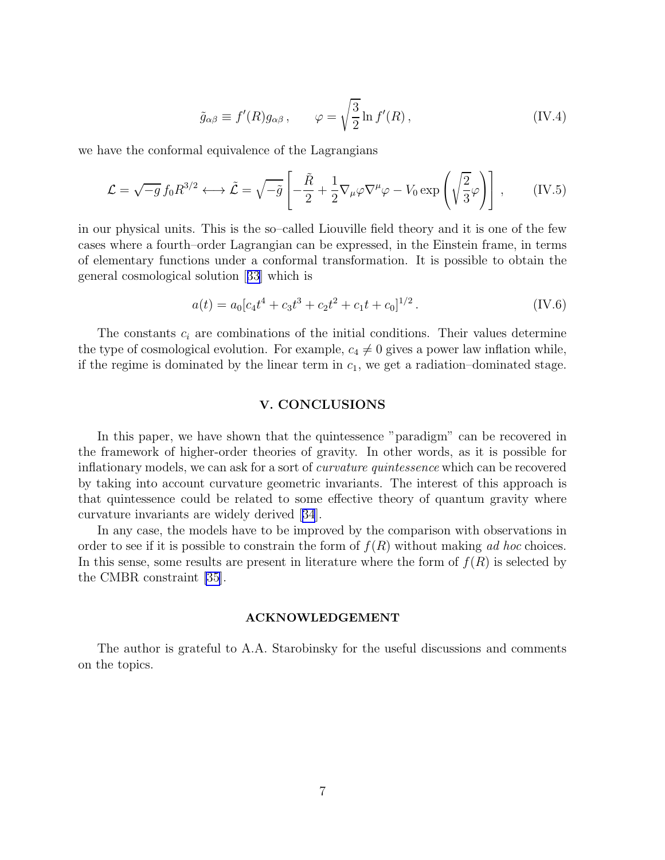$$
\tilde{g}_{\alpha\beta} \equiv f'(R)g_{\alpha\beta}, \qquad \varphi = \sqrt{\frac{3}{2}}\ln f'(R), \qquad (IV.4)
$$

we have the conformal equivalence of the Lagrangians

$$
\mathcal{L} = \sqrt{-g} f_0 R^{3/2} \longleftrightarrow \tilde{\mathcal{L}} = \sqrt{-\tilde{g}} \left[ -\frac{\tilde{R}}{2} + \frac{1}{2} \nabla_{\mu} \varphi \nabla^{\mu} \varphi - V_0 \exp\left(\sqrt{\frac{2}{3}} \varphi\right) \right], \qquad (IV.5)
$$

in our physical units. This is the so–called Liouville field theory and it is one of the few cases where a fourth–order Lagrangian can be expressed, in the Einstein frame, in terms of elementary functions under a conformal transformation. It is possible to obtain the general cosmological solution[[33](#page-9-0)] which is

$$
a(t) = a_0[c_4t^4 + c_3t^3 + c_2t^2 + c_1t + c_0]^{1/2}.
$$
 (IV.6)

The constants  $c_i$  are combinations of the initial conditions. Their values determine the type of cosmological evolution. For example,  $c_4 \neq 0$  gives a power law inflation while, if the regime is dominated by the linear term in  $c_1$ , we get a radiation–dominated stage.

#### V. CONCLUSIONS

In this paper, we have shown that the quintessence "paradigm" can be recovered in the framework of higher-order theories of gravity. In other words, as it is possible for inflationary models, we can ask for a sort of curvature quintessence which can be recovered by taking into account curvature geometric invariants. The interest of this approach is that quintessence could be related to some effective theory of quantum gravity where curvature invariants are widely derived[[34](#page-9-0)].

In any case, the models have to be improved by the comparison with observations in order to see if it is possible to constrain the form of  $f(R)$  without making ad hoc choices. In this sense, some results are present in literature where the form of  $f(R)$  is selected by the CMBR constraint [\[35](#page-9-0)].

#### ACKNOWLEDGEMENT

The author is grateful to A.A. Starobinsky for the useful discussions and comments on the topics.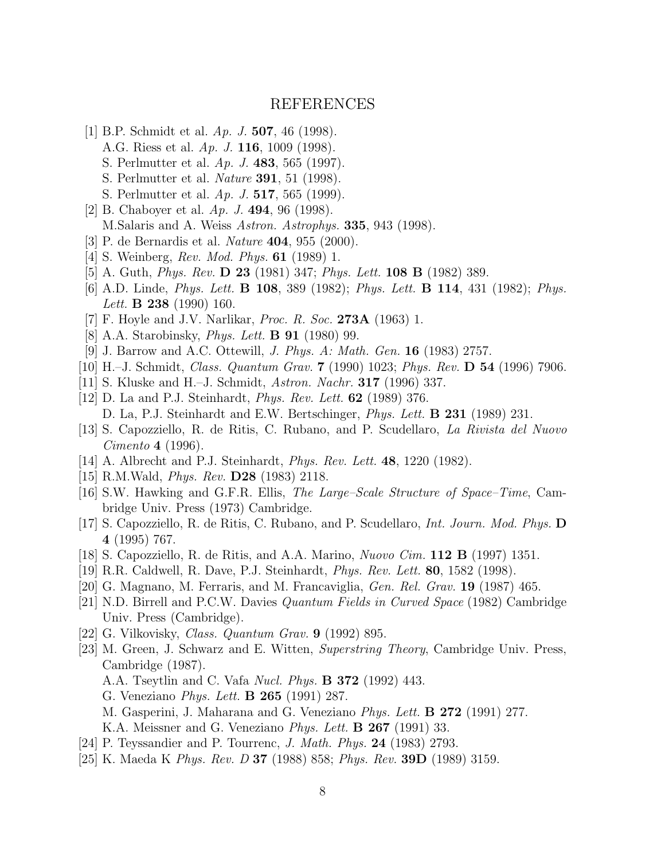## REFERENCES

- <span id="page-8-0"></span>[1] B.P. Schmidt et al. Ap. J. 507, 46 (1998). A.G. Riess et al. Ap. J. 116, 1009 (1998).
	- S. Perlmutter et al. Ap. J. 483, 565 (1997).
	- S. Perlmutter et al. Nature 391, 51 (1998).
	- S. Perlmutter et al. Ap. J. 517, 565 (1999).
- [2] B. Chaboyer et al.  $Ap. J. 494, 96 (1998)$ . M.Salaris and A. Weiss Astron. Astrophys. 335, 943 (1998).
- [3] P. de Bernardis et al. Nature 404, 955 (2000).
- [4] S. Weinberg, *Rev. Mod. Phys.* **61** (1989) 1.
- [5] A. Guth, Phys. Rev. D 23 (1981) 347; Phys. Lett. 108 B (1982) 389.
- [6] A.D. Linde, Phys. Lett. B 108, 389 (1982); Phys. Lett. B 114, 431 (1982); Phys. Lett. **B** 238 (1990) 160.
- [7] F. Hoyle and J.V. Narlikar, *Proc. R. Soc.* **273A** (1963) 1.
- [8] A.A. Starobinsky, *Phys. Lett.* **B** 91 (1980) 99.
- [9] J. Barrow and A.C. Ottewill, J. Phys. A: Math. Gen. 16 (1983) 2757.
- [10] H.–J. Schmidt, Class. Quantum Grav. 7 (1990) 1023; Phys. Rev. D 54 (1996) 7906.
- [11] S. Kluske and H.–J. Schmidt, Astron. Nachr. 317 (1996) 337.
- [12] D. La and P.J. Steinhardt, Phys. Rev. Lett. 62 (1989) 376. D. La, P.J. Steinhardt and E.W. Bertschinger, Phys. Lett. B 231 (1989) 231.
- [13] S. Capozziello, R. de Ritis, C. Rubano, and P. Scudellaro, La Rivista del Nuovo Cimento 4 (1996).
- [14] A. Albrecht and P.J. Steinhardt, *Phys. Rev. Lett.* **48**, 1220 (1982).
- [15] R.M.Wald, Phys. Rev. D28 (1983) 2118.
- [16] S.W. Hawking and G.F.R. Ellis, The Large–Scale Structure of Space–Time, Cambridge Univ. Press (1973) Cambridge.
- [17] S. Capozziello, R. de Ritis, C. Rubano, and P. Scudellaro, Int. Journ. Mod. Phys. D 4 (1995) 767.
- [18] S. Capozziello, R. de Ritis, and A.A. Marino, Nuovo Cim. 112 B (1997) 1351.
- [19] R.R. Caldwell, R. Dave, P.J. Steinhardt, Phys. Rev. Lett. 80, 1582 (1998).
- [20] G. Magnano, M. Ferraris, and M. Francaviglia, Gen. Rel. Grav. 19 (1987) 465.
- [21] N.D. Birrell and P.C.W. Davies Quantum Fields in Curved Space (1982) Cambridge Univ. Press (Cambridge).
- [22] G. Vilkovisky, Class. Quantum Grav. 9 (1992) 895.
- [23] M. Green, J. Schwarz and E. Witten, Superstring Theory, Cambridge Univ. Press, Cambridge (1987).
	- A.A. Tseytlin and C. Vafa Nucl. Phys. B 372 (1992) 443.
	- G. Veneziano Phys. Lett. B 265 (1991) 287.
	- M. Gasperini, J. Maharana and G. Veneziano Phys. Lett. B 272 (1991) 277.
	- K.A. Meissner and G. Veneziano *Phys. Lett.* **B 267** (1991) 33.
- [24] P. Teyssandier and P. Tourrenc, J. Math. Phys. 24 (1983) 2793.
- [25] K. Maeda K Phys. Rev. D 37 (1988) 858; Phys. Rev. 39D (1989) 3159.